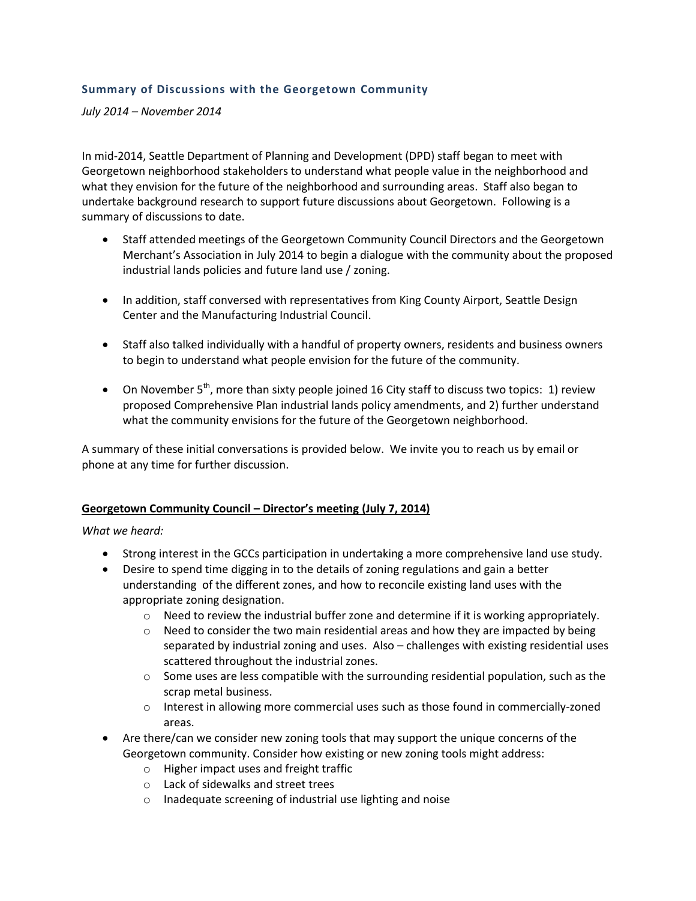## **Summary of Discussions with the Georgetown Community**

*July 2014 – November 2014*

In mid-2014, Seattle Department of Planning and Development (DPD) staff began to meet with Georgetown neighborhood stakeholders to understand what people value in the neighborhood and what they envision for the future of the neighborhood and surrounding areas. Staff also began to undertake background research to support future discussions about Georgetown. Following is a summary of discussions to date.

- Staff attended meetings of the Georgetown Community Council Directors and the Georgetown Merchant's Association in July 2014 to begin a dialogue with the community about the proposed industrial lands policies and future land use / zoning.
- In addition, staff conversed with representatives from King County Airport, Seattle Design Center and the Manufacturing Industrial Council.
- Staff also talked individually with a handful of property owners, residents and business owners to begin to understand what people envision for the future of the community.
- On November  $5<sup>th</sup>$ , more than sixty people joined 16 City staff to discuss two topics: 1) review proposed Comprehensive Plan industrial lands policy amendments, and 2) further understand what the community envisions for the future of the Georgetown neighborhood.

A summary of these initial conversations is provided below. We invite you to reach us by email or phone at any time for further discussion.

#### **Georgetown Community Council – Director's meeting (July 7, 2014)**

*What we heard:*

- Strong interest in the GCCs participation in undertaking a more comprehensive land use study.
- Desire to spend time digging in to the details of zoning regulations and gain a better understanding of the different zones, and how to reconcile existing land uses with the appropriate zoning designation.
	- $\circ$  Need to review the industrial buffer zone and determine if it is working appropriately.
	- $\circ$  Need to consider the two main residential areas and how they are impacted by being separated by industrial zoning and uses. Also – challenges with existing residential uses scattered throughout the industrial zones.
	- $\circ$  Some uses are less compatible with the surrounding residential population, such as the scrap metal business.
	- $\circ$  Interest in allowing more commercial uses such as those found in commercially-zoned areas.
- Are there/can we consider new zoning tools that may support the unique concerns of the Georgetown community. Consider how existing or new zoning tools might address:
	- o Higher impact uses and freight traffic
	- o Lack of sidewalks and street trees
	- o Inadequate screening of industrial use lighting and noise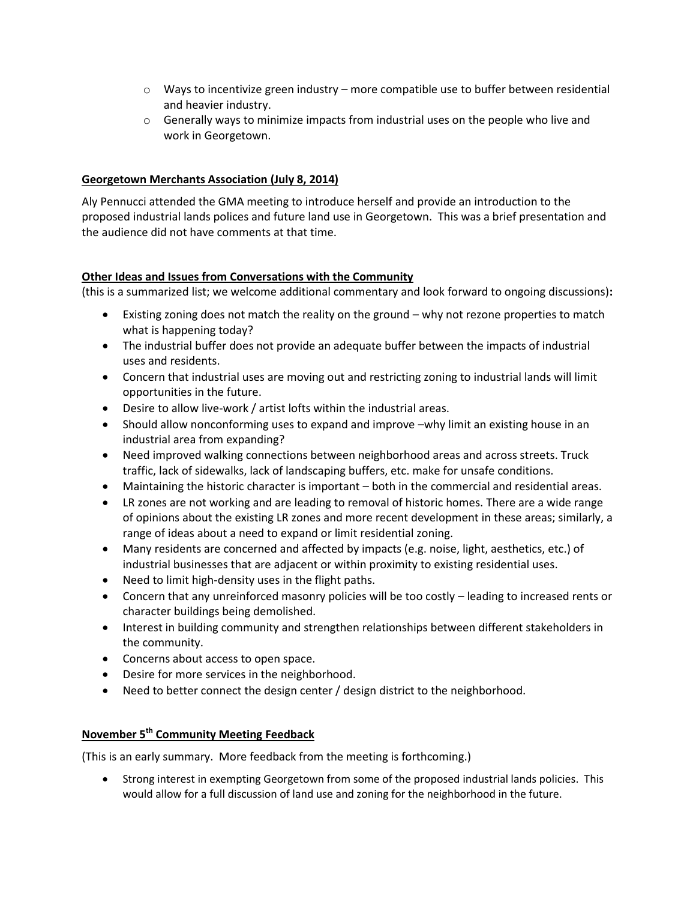- $\circ$  Ways to incentivize green industry more compatible use to buffer between residential and heavier industry.
- $\circ$  Generally ways to minimize impacts from industrial uses on the people who live and work in Georgetown.

## **Georgetown Merchants Association (July 8, 2014)**

Aly Pennucci attended the GMA meeting to introduce herself and provide an introduction to the proposed industrial lands polices and future land use in Georgetown. This was a brief presentation and the audience did not have comments at that time.

## **Other Ideas and Issues from Conversations with the Community**

(this is a summarized list; we welcome additional commentary and look forward to ongoing discussions)**:**

- Existing zoning does not match the reality on the ground why not rezone properties to match what is happening today?
- The industrial buffer does not provide an adequate buffer between the impacts of industrial uses and residents.
- Concern that industrial uses are moving out and restricting zoning to industrial lands will limit opportunities in the future.
- Desire to allow live-work / artist lofts within the industrial areas.
- Should allow nonconforming uses to expand and improve –why limit an existing house in an industrial area from expanding?
- Need improved walking connections between neighborhood areas and across streets. Truck traffic, lack of sidewalks, lack of landscaping buffers, etc. make for unsafe conditions.
- Maintaining the historic character is important both in the commercial and residential areas.
- LR zones are not working and are leading to removal of historic homes. There are a wide range of opinions about the existing LR zones and more recent development in these areas; similarly, a range of ideas about a need to expand or limit residential zoning.
- Many residents are concerned and affected by impacts (e.g. noise, light, aesthetics, etc.) of industrial businesses that are adjacent or within proximity to existing residential uses.
- Need to limit high-density uses in the flight paths.
- Concern that any unreinforced masonry policies will be too costly leading to increased rents or character buildings being demolished.
- Interest in building community and strengthen relationships between different stakeholders in the community.
- Concerns about access to open space.
- Desire for more services in the neighborhood.
- Need to better connect the design center / design district to the neighborhood.

# **November 5th Community Meeting Feedback**

(This is an early summary. More feedback from the meeting is forthcoming.)

 Strong interest in exempting Georgetown from some of the proposed industrial lands policies. This would allow for a full discussion of land use and zoning for the neighborhood in the future.